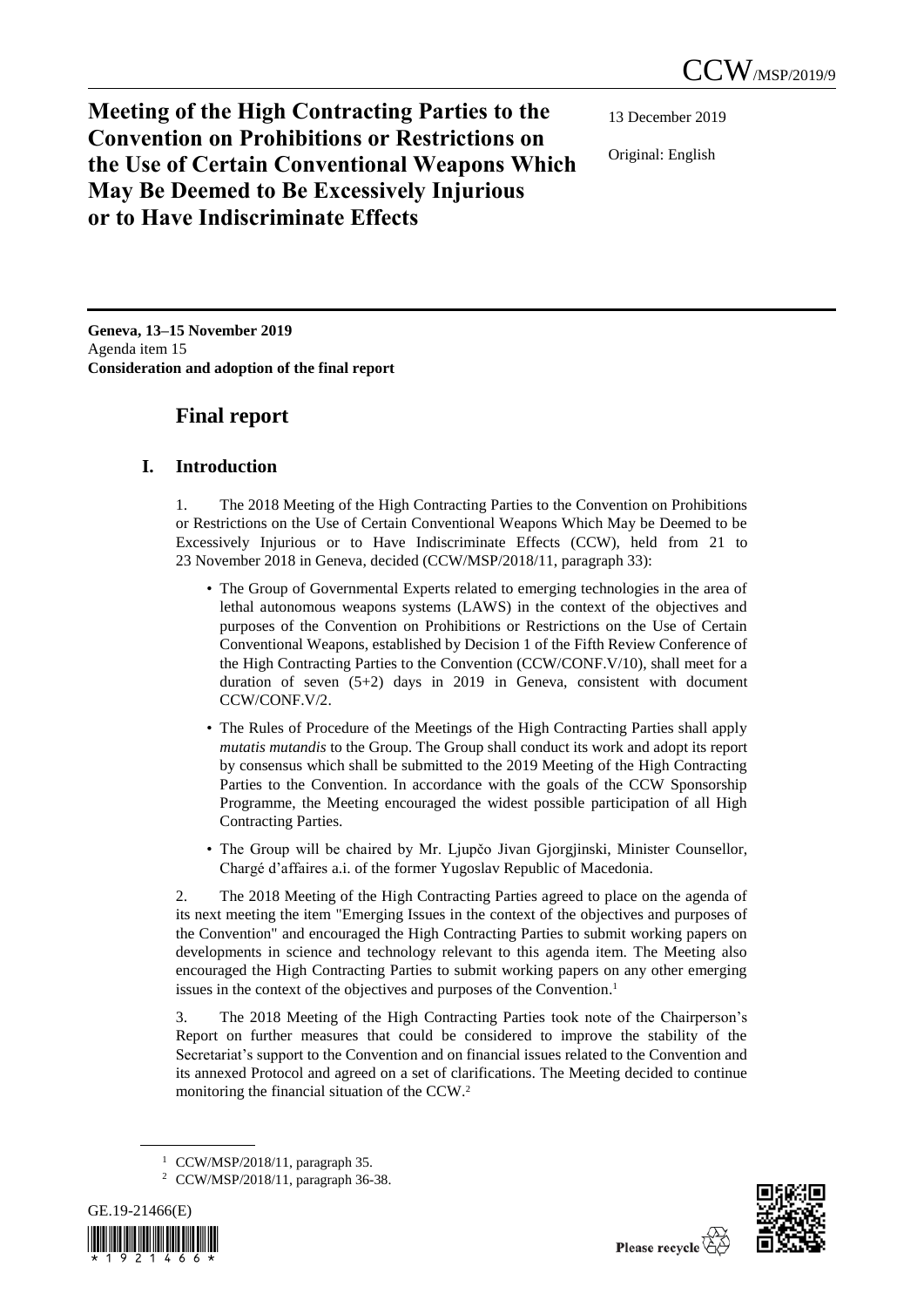13 December 2019

Original: English

# **Meeting of the High Contracting Parties to the Convention on Prohibitions or Restrictions on the Use of Certain Conventional Weapons Which May Be Deemed to Be Excessively Injurious or to Have Indiscriminate Effects**

**Geneva, 13–15 November 2019** Agenda item 15 **Consideration and adoption of the final report**

# **Final report**

## **I. Introduction**

1. The 2018 Meeting of the High Contracting Parties to the Convention on Prohibitions or Restrictions on the Use of Certain Conventional Weapons Which May be Deemed to be Excessively Injurious or to Have Indiscriminate Effects (CCW), held from 21 to 23 November 2018 in Geneva, decided (CCW/MSP/2018/11, paragraph 33):

- The Group of Governmental Experts related to emerging technologies in the area of lethal autonomous weapons systems (LAWS) in the context of the objectives and purposes of the Convention on Prohibitions or Restrictions on the Use of Certain Conventional Weapons, established by Decision 1 of the Fifth Review Conference of the High Contracting Parties to the Convention (CCW/CONF.V/10), shall meet for a duration of seven (5+2) days in 2019 in Geneva, consistent with document CCW/CONF.V/2.
- The Rules of Procedure of the Meetings of the High Contracting Parties shall apply *mutatis mutandis* to the Group. The Group shall conduct its work and adopt its report by consensus which shall be submitted to the 2019 Meeting of the High Contracting Parties to the Convention. In accordance with the goals of the CCW Sponsorship Programme, the Meeting encouraged the widest possible participation of all High Contracting Parties.
- The Group will be chaired by Mr. Ljupčo Jivan Gjorgjinski, Minister Counsellor, Chargé d'affaires a.i. of the former Yugoslav Republic of Macedonia.

2. The 2018 Meeting of the High Contracting Parties agreed to place on the agenda of its next meeting the item "Emerging Issues in the context of the objectives and purposes of the Convention" and encouraged the High Contracting Parties to submit working papers on developments in science and technology relevant to this agenda item. The Meeting also encouraged the High Contracting Parties to submit working papers on any other emerging issues in the context of the objectives and purposes of the Convention. 1

3. The 2018 Meeting of the High Contracting Parties took note of the Chairperson's Report on further measures that could be considered to improve the stability of the Secretariat's support to the Convention and on financial issues related to the Convention and its annexed Protocol and agreed on a set of clarifications. The Meeting decided to continue monitoring the financial situation of the CCW. 2

<sup>2</sup> CCW/MSP/2018/11, paragraph 36-38.





<sup>1</sup> CCW/MSP/2018/11, paragraph 35.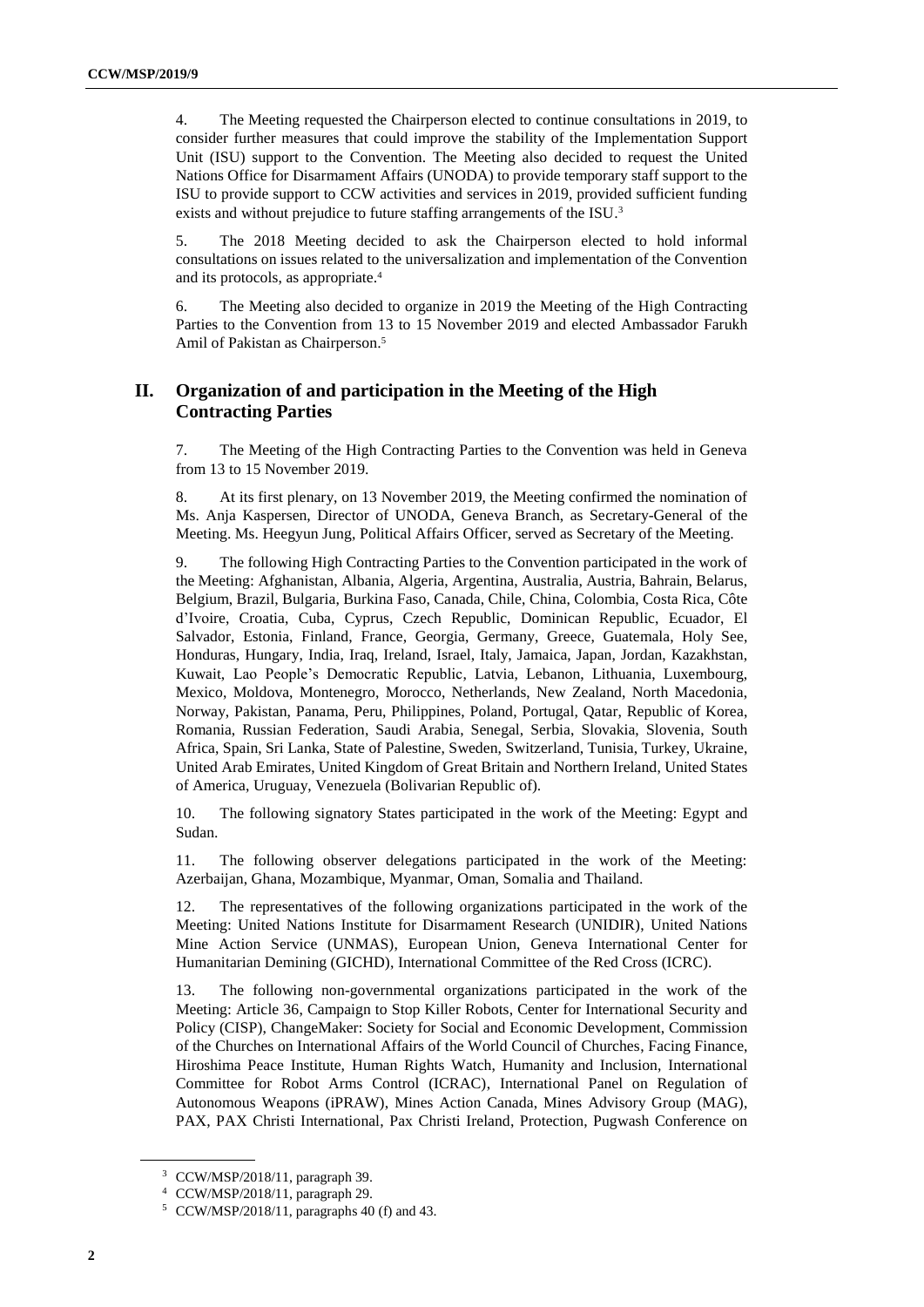4. The Meeting requested the Chairperson elected to continue consultations in 2019, to consider further measures that could improve the stability of the Implementation Support Unit (ISU) support to the Convention. The Meeting also decided to request the United Nations Office for Disarmament Affairs (UNODA) to provide temporary staff support to the ISU to provide support to CCW activities and services in 2019, provided sufficient funding exists and without prejudice to future staffing arrangements of the ISU.<sup>3</sup>

5. The 2018 Meeting decided to ask the Chairperson elected to hold informal consultations on issues related to the universalization and implementation of the Convention and its protocols, as appropriate. 4

6. The Meeting also decided to organize in 2019 the Meeting of the High Contracting Parties to the Convention from 13 to 15 November 2019 and elected Ambassador Farukh Amil of Pakistan as Chairperson. 5

## **II. Organization of and participation in the Meeting of the High Contracting Parties**

7. The Meeting of the High Contracting Parties to the Convention was held in Geneva from 13 to 15 November 2019.

8. At its first plenary, on 13 November 2019, the Meeting confirmed the nomination of Ms. Anja Kaspersen, Director of UNODA, Geneva Branch, as Secretary-General of the Meeting. Ms. Heegyun Jung, Political Affairs Officer, served as Secretary of the Meeting.

9. The following High Contracting Parties to the Convention participated in the work of the Meeting: Afghanistan, Albania, Algeria, Argentina, Australia, Austria, Bahrain, Belarus, Belgium, Brazil, Bulgaria, Burkina Faso, Canada, Chile, China, Colombia, Costa Rica, Côte d'Ivoire, Croatia, Cuba, Cyprus, Czech Republic, Dominican Republic, Ecuador, El Salvador, Estonia, Finland, France, Georgia, Germany, Greece, Guatemala, Holy See, Honduras, Hungary, India, Iraq, Ireland, Israel, Italy, Jamaica, Japan, Jordan, Kazakhstan, Kuwait, Lao People's Democratic Republic, Latvia, Lebanon, Lithuania, Luxembourg, Mexico, Moldova, Montenegro, Morocco, Netherlands, New Zealand, North Macedonia, Norway, Pakistan, Panama, Peru, Philippines, Poland, Portugal, Qatar, Republic of Korea, Romania, Russian Federation, Saudi Arabia, Senegal, Serbia, Slovakia, Slovenia, South Africa, Spain, Sri Lanka, State of Palestine, Sweden, Switzerland, Tunisia, Turkey, Ukraine, United Arab Emirates, United Kingdom of Great Britain and Northern Ireland, United States of America, Uruguay, Venezuela (Bolivarian Republic of).

10. The following signatory States participated in the work of the Meeting: Egypt and Sudan.

11. The following observer delegations participated in the work of the Meeting: Azerbaijan, Ghana, Mozambique, Myanmar, Oman, Somalia and Thailand.

12. The representatives of the following organizations participated in the work of the Meeting: United Nations Institute for Disarmament Research (UNIDIR), United Nations Mine Action Service (UNMAS), European Union, Geneva International Center for Humanitarian Demining (GICHD), International Committee of the Red Cross (ICRC).

13. The following non-governmental organizations participated in the work of the Meeting: Article 36, Campaign to Stop Killer Robots, Center for International Security and Policy (CISP), ChangeMaker: Society for Social and Economic Development, Commission of the Churches on International Affairs of the World Council of Churches, Facing Finance, Hiroshima Peace Institute, Human Rights Watch, Humanity and Inclusion, International Committee for Robot Arms Control (ICRAC), International Panel on Regulation of Autonomous Weapons (iPRAW), Mines Action Canada, Mines Advisory Group (MAG), PAX, PAX Christi International, Pax Christi Ireland, Protection, Pugwash Conference on

<sup>3</sup> CCW/MSP/2018/11, paragraph 39.

<sup>4</sup> CCW/MSP/2018/11, paragraph 29.

<sup>5</sup> CCW/MSP/2018/11, paragraphs 40 (f) and 43.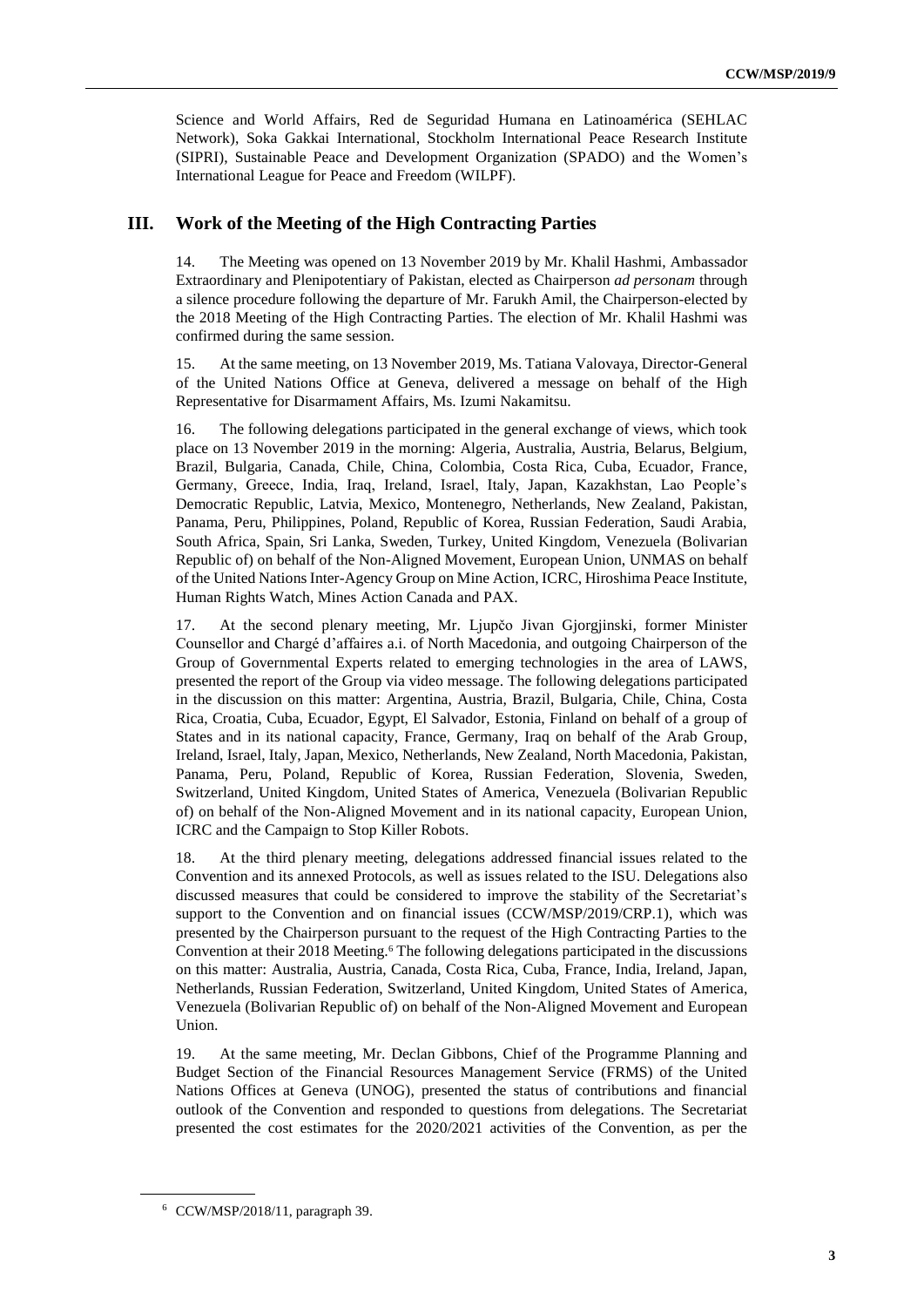Science and World Affairs, Red de Seguridad Humana en Latinoamérica (SEHLAC Network), Soka Gakkai International, Stockholm International Peace Research Institute (SIPRI), Sustainable Peace and Development Organization (SPADO) and the Women's International League for Peace and Freedom (WILPF).

### **III. Work of the Meeting of the High Contracting Parties**

14. The Meeting was opened on 13 November 2019 by Mr. Khalil Hashmi, Ambassador Extraordinary and Plenipotentiary of Pakistan, elected as Chairperson *ad personam* through a silence procedure following the departure of Mr. Farukh Amil, the Chairperson-elected by the 2018 Meeting of the High Contracting Parties. The election of Mr. Khalil Hashmi was confirmed during the same session.

15. At the same meeting, on 13 November 2019, Ms. Tatiana Valovaya, Director-General of the United Nations Office at Geneva, delivered a message on behalf of the High Representative for Disarmament Affairs, Ms. Izumi Nakamitsu.

16. The following delegations participated in the general exchange of views, which took place on 13 November 2019 in the morning: Algeria, Australia, Austria, Belarus, Belgium, Brazil, Bulgaria, Canada, Chile, China, Colombia, Costa Rica, Cuba, Ecuador, France, Germany, Greece, India, Iraq, Ireland, Israel, Italy, Japan, Kazakhstan, Lao People's Democratic Republic, Latvia, Mexico, Montenegro, Netherlands, New Zealand, Pakistan, Panama, Peru, Philippines, Poland, Republic of Korea, Russian Federation, Saudi Arabia, South Africa, Spain, Sri Lanka, Sweden, Turkey, United Kingdom, Venezuela (Bolivarian Republic of) on behalf of the Non-Aligned Movement, European Union, UNMAS on behalf of the United Nations Inter-Agency Group on Mine Action, ICRC, Hiroshima Peace Institute, Human Rights Watch, Mines Action Canada and PAX.

17. At the second plenary meeting, Mr. Ljupčo Jivan Gjorgjinski, former Minister Counsellor and Chargé d'affaires a.i. of North Macedonia, and outgoing Chairperson of the Group of Governmental Experts related to emerging technologies in the area of LAWS, presented the report of the Group via video message. The following delegations participated in the discussion on this matter: Argentina, Austria, Brazil, Bulgaria, Chile, China, Costa Rica, Croatia, Cuba, Ecuador, Egypt, El Salvador, Estonia, Finland on behalf of a group of States and in its national capacity, France, Germany, Iraq on behalf of the Arab Group, Ireland, Israel, Italy, Japan, Mexico, Netherlands, New Zealand, North Macedonia, Pakistan, Panama, Peru, Poland, Republic of Korea, Russian Federation, Slovenia, Sweden, Switzerland, United Kingdom, United States of America, Venezuela (Bolivarian Republic of) on behalf of the Non-Aligned Movement and in its national capacity, European Union, ICRC and the Campaign to Stop Killer Robots.

18. At the third plenary meeting, delegations addressed financial issues related to the Convention and its annexed Protocols, as well as issues related to the ISU. Delegations also discussed measures that could be considered to improve the stability of the Secretariat's support to the Convention and on financial issues (CCW/MSP/2019/CRP.1), which was presented by the Chairperson pursuant to the request of the High Contracting Parties to the Convention at their 2018 Meeting.<sup>6</sup> The following delegations participated in the discussions on this matter: Australia, Austria, Canada, Costa Rica, Cuba, France, India, Ireland, Japan, Netherlands, Russian Federation, Switzerland, United Kingdom, United States of America, Venezuela (Bolivarian Republic of) on behalf of the Non-Aligned Movement and European Union.

19. At the same meeting, Mr. Declan Gibbons, Chief of the Programme Planning and Budget Section of the Financial Resources Management Service (FRMS) of the United Nations Offices at Geneva (UNOG), presented the status of contributions and financial outlook of the Convention and responded to questions from delegations. The Secretariat presented the cost estimates for the 2020/2021 activities of the Convention, as per the

<sup>6</sup> CCW/MSP/2018/11, paragraph 39.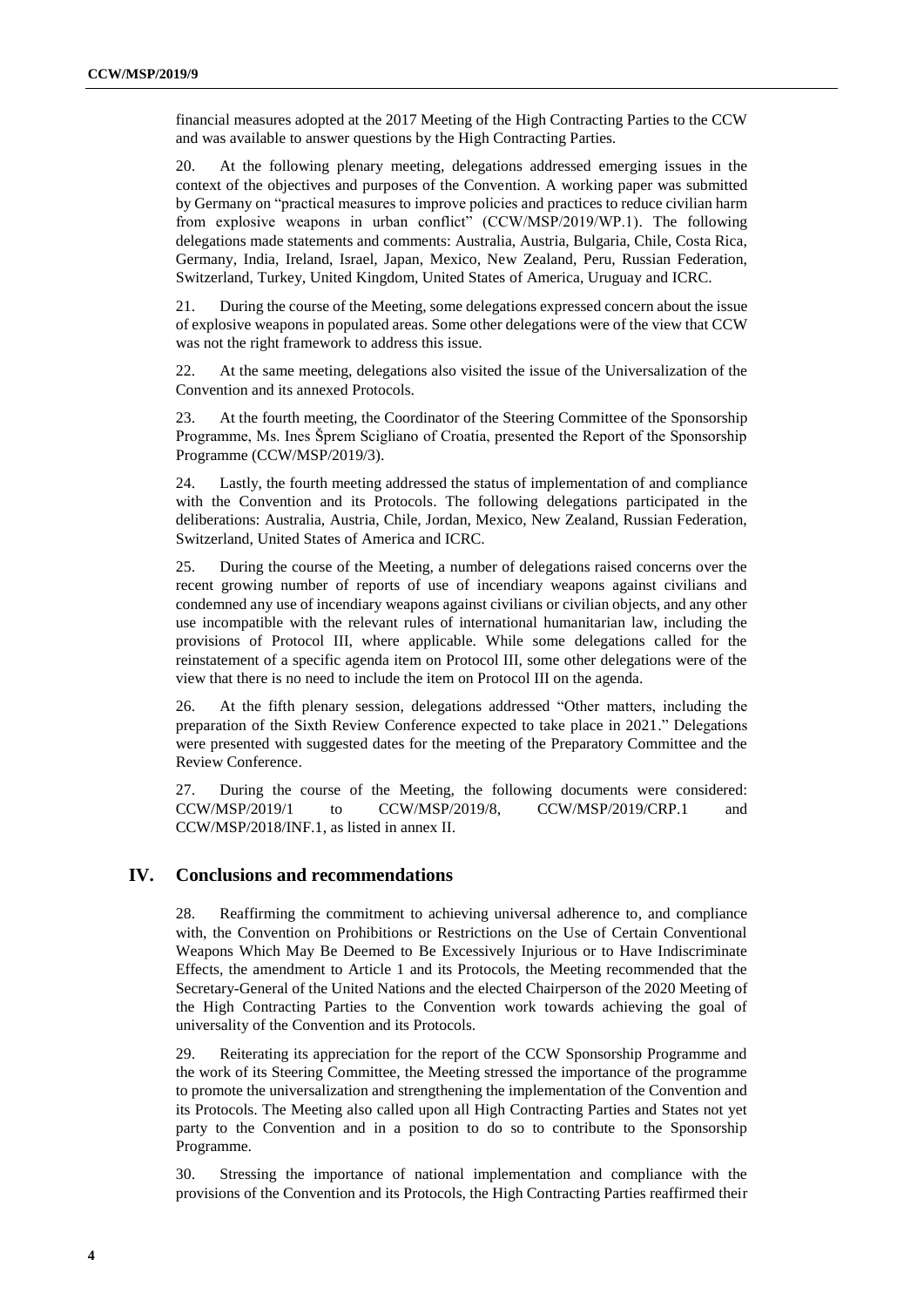financial measures adopted at the 2017 Meeting of the High Contracting Parties to the CCW and was available to answer questions by the High Contracting Parties.

20. At the following plenary meeting, delegations addressed emerging issues in the context of the objectives and purposes of the Convention. A working paper was submitted by Germany on "practical measures to improve policies and practices to reduce civilian harm from explosive weapons in urban conflict" (CCW/MSP/2019/WP.1). The following delegations made statements and comments: Australia, Austria, Bulgaria, Chile, Costa Rica, Germany, India, Ireland, Israel, Japan, Mexico, New Zealand, Peru, Russian Federation, Switzerland, Turkey, United Kingdom, United States of America, Uruguay and ICRC.

21. During the course of the Meeting, some delegations expressed concern about the issue of explosive weapons in populated areas. Some other delegations were of the view that CCW was not the right framework to address this issue.

22. At the same meeting, delegations also visited the issue of the Universalization of the Convention and its annexed Protocols.

23. At the fourth meeting, the Coordinator of the Steering Committee of the Sponsorship Programme, Ms. Ines Šprem Scigliano of Croatia, presented the Report of the Sponsorship Programme (CCW/MSP/2019/3).

24. Lastly, the fourth meeting addressed the status of implementation of and compliance with the Convention and its Protocols. The following delegations participated in the deliberations: Australia, Austria, Chile, Jordan, Mexico, New Zealand, Russian Federation, Switzerland, United States of America and ICRC.

25. During the course of the Meeting, a number of delegations raised concerns over the recent growing number of reports of use of incendiary weapons against civilians and condemned any use of incendiary weapons against civilians or civilian objects, and any other use incompatible with the relevant rules of international humanitarian law, including the provisions of Protocol III, where applicable. While some delegations called for the reinstatement of a specific agenda item on Protocol III, some other delegations were of the view that there is no need to include the item on Protocol III on the agenda.

26. At the fifth plenary session, delegations addressed "Other matters, including the preparation of the Sixth Review Conference expected to take place in 2021." Delegations were presented with suggested dates for the meeting of the Preparatory Committee and the Review Conference.

27. During the course of the Meeting, the following documents were considered: CCW/MSP/2019/1 to CCW/MSP/2019/8, CCW/MSP/2019/CRP.1 and CCW/MSP/2018/INF.1, as listed in annex II.

### **IV. Conclusions and recommendations**

28. Reaffirming the commitment to achieving universal adherence to, and compliance with, the Convention on Prohibitions or Restrictions on the Use of Certain Conventional Weapons Which May Be Deemed to Be Excessively Injurious or to Have Indiscriminate Effects, the amendment to Article 1 and its Protocols, the Meeting recommended that the Secretary-General of the United Nations and the elected Chairperson of the 2020 Meeting of the High Contracting Parties to the Convention work towards achieving the goal of universality of the Convention and its Protocols.

29. Reiterating its appreciation for the report of the CCW Sponsorship Programme and the work of its Steering Committee, the Meeting stressed the importance of the programme to promote the universalization and strengthening the implementation of the Convention and its Protocols. The Meeting also called upon all High Contracting Parties and States not yet party to the Convention and in a position to do so to contribute to the Sponsorship Programme.

30. Stressing the importance of national implementation and compliance with the provisions of the Convention and its Protocols, the High Contracting Parties reaffirmed their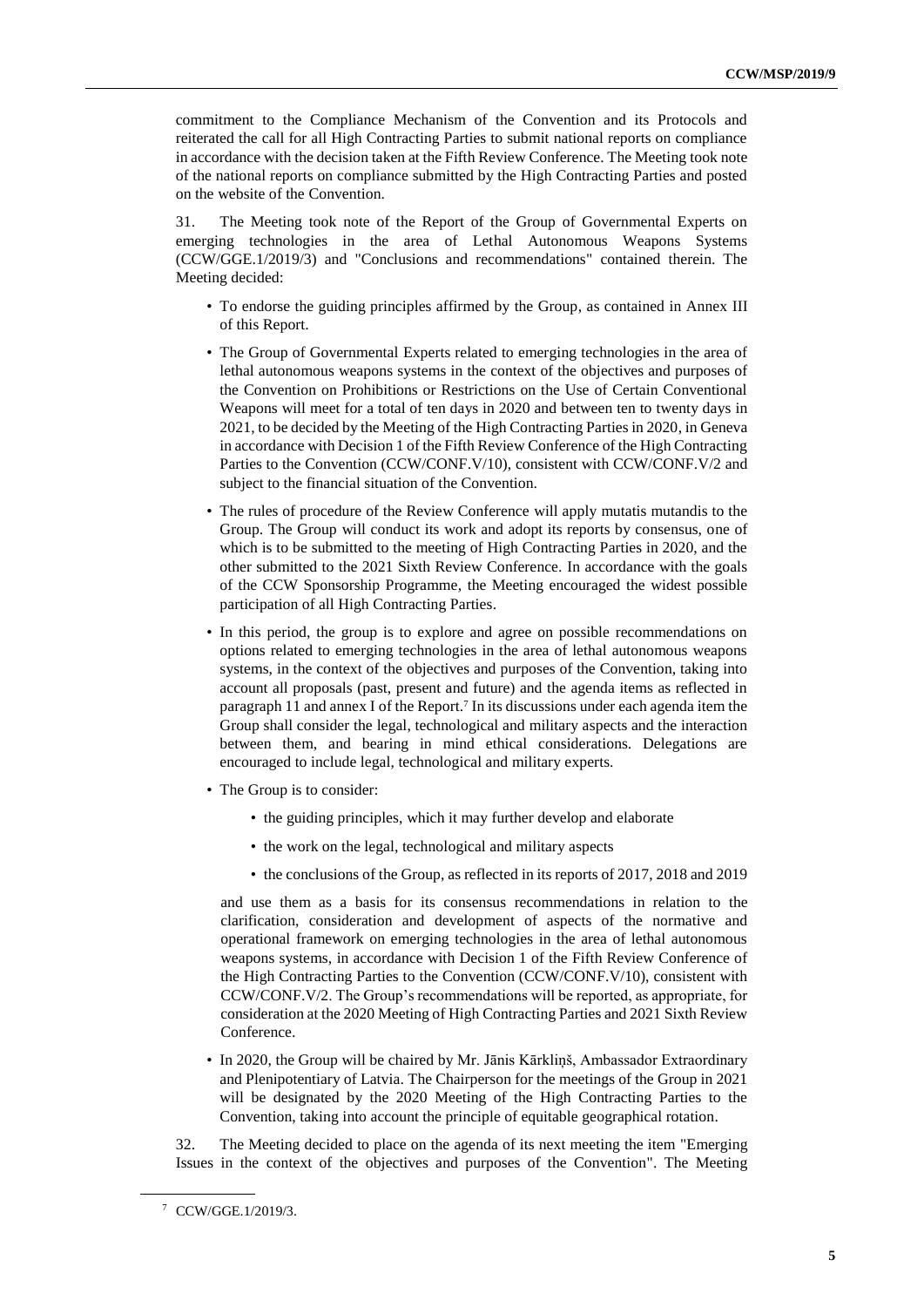commitment to the Compliance Mechanism of the Convention and its Protocols and reiterated the call for all High Contracting Parties to submit national reports on compliance in accordance with the decision taken at the Fifth Review Conference. The Meeting took note of the national reports on compliance submitted by the High Contracting Parties and posted on the website of the Convention.

31. The Meeting took note of the Report of the Group of Governmental Experts on emerging technologies in the area of Lethal Autonomous Weapons Systems (CCW/GGE.1/2019/3) and "Conclusions and recommendations" contained therein. The Meeting decided:

- To endorse the guiding principles affirmed by the Group, as contained in Annex III of this Report.
- The Group of Governmental Experts related to emerging technologies in the area of lethal autonomous weapons systems in the context of the objectives and purposes of the Convention on Prohibitions or Restrictions on the Use of Certain Conventional Weapons will meet for a total of ten days in 2020 and between ten to twenty days in 2021, to be decided by the Meeting of the High Contracting Parties in 2020, in Geneva in accordance with Decision 1 of the Fifth Review Conference of the High Contracting Parties to the Convention (CCW/CONF.V/10), consistent with CCW/CONF.V/2 and subject to the financial situation of the Convention.
- The rules of procedure of the Review Conference will apply mutatis mutandis to the Group. The Group will conduct its work and adopt its reports by consensus, one of which is to be submitted to the meeting of High Contracting Parties in 2020, and the other submitted to the 2021 Sixth Review Conference. In accordance with the goals of the CCW Sponsorship Programme, the Meeting encouraged the widest possible participation of all High Contracting Parties.
- In this period, the group is to explore and agree on possible recommendations on options related to emerging technologies in the area of lethal autonomous weapons systems, in the context of the objectives and purposes of the Convention, taking into account all proposals (past, present and future) and the agenda items as reflected in paragraph 11 and annex I of the Report. 7 In its discussions under each agenda item the Group shall consider the legal, technological and military aspects and the interaction between them, and bearing in mind ethical considerations. Delegations are encouraged to include legal, technological and military experts.
- The Group is to consider:
	- the guiding principles, which it may further develop and elaborate
	- the work on the legal, technological and military aspects
	- the conclusions of the Group, as reflected in its reports of 2017, 2018 and 2019

and use them as a basis for its consensus recommendations in relation to the clarification, consideration and development of aspects of the normative and operational framework on emerging technologies in the area of lethal autonomous weapons systems, in accordance with Decision 1 of the Fifth Review Conference of the High Contracting Parties to the Convention (CCW/CONF.V/10), consistent with CCW/CONF.V/2. The Group's recommendations will be reported, as appropriate, for consideration at the 2020 Meeting of High Contracting Parties and 2021 Sixth Review Conference.

• In 2020, the Group will be chaired by Mr. Jānis Kārkliņš, Ambassador Extraordinary and Plenipotentiary of Latvia. The Chairperson for the meetings of the Group in 2021 will be designated by the 2020 Meeting of the High Contracting Parties to the Convention, taking into account the principle of equitable geographical rotation.

32. The Meeting decided to place on the agenda of its next meeting the item "Emerging Issues in the context of the objectives and purposes of the Convention". The Meeting

<sup>7</sup> CCW/GGE.1/2019/3.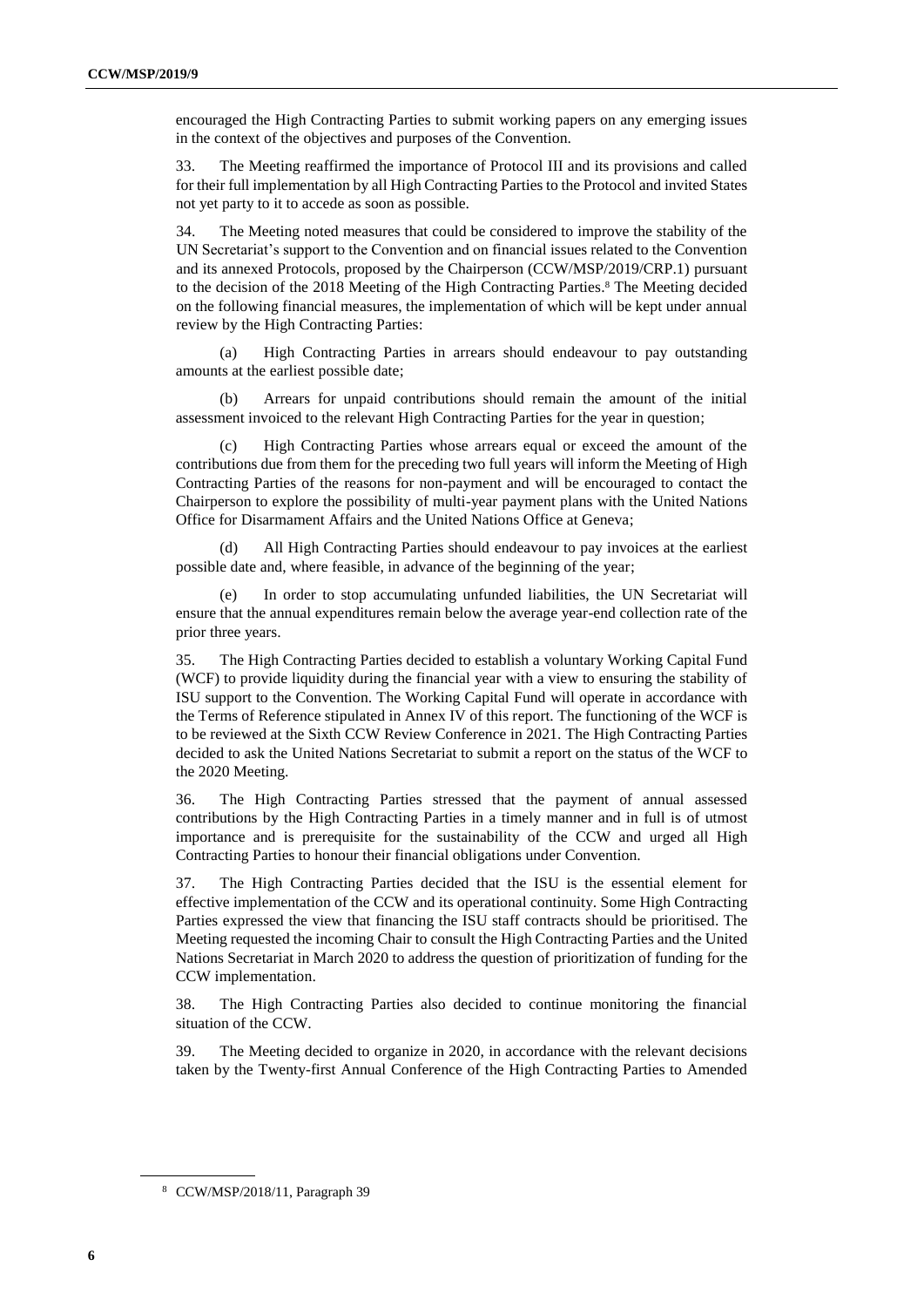encouraged the High Contracting Parties to submit working papers on any emerging issues in the context of the objectives and purposes of the Convention.

33. The Meeting reaffirmed the importance of Protocol III and its provisions and called for their full implementation by all High Contracting Parties to the Protocol and invited States not yet party to it to accede as soon as possible.

34. The Meeting noted measures that could be considered to improve the stability of the UN Secretariat's support to the Convention and on financial issues related to the Convention and its annexed Protocols, proposed by the Chairperson (CCW/MSP/2019/CRP.1) pursuant to the decision of the 2018 Meeting of the High Contracting Parties. <sup>8</sup> The Meeting decided on the following financial measures, the implementation of which will be kept under annual review by the High Contracting Parties:

(a) High Contracting Parties in arrears should endeavour to pay outstanding amounts at the earliest possible date;

(b) Arrears for unpaid contributions should remain the amount of the initial assessment invoiced to the relevant High Contracting Parties for the year in question;

(c) High Contracting Parties whose arrears equal or exceed the amount of the contributions due from them for the preceding two full years will inform the Meeting of High Contracting Parties of the reasons for non-payment and will be encouraged to contact the Chairperson to explore the possibility of multi-year payment plans with the United Nations Office for Disarmament Affairs and the United Nations Office at Geneva;

All High Contracting Parties should endeavour to pay invoices at the earliest possible date and, where feasible, in advance of the beginning of the year;

(e) In order to stop accumulating unfunded liabilities, the UN Secretariat will ensure that the annual expenditures remain below the average year-end collection rate of the prior three years.

35. The High Contracting Parties decided to establish a voluntary Working Capital Fund (WCF) to provide liquidity during the financial year with a view to ensuring the stability of ISU support to the Convention. The Working Capital Fund will operate in accordance with the Terms of Reference stipulated in Annex IV of this report. The functioning of the WCF is to be reviewed at the Sixth CCW Review Conference in 2021. The High Contracting Parties decided to ask the United Nations Secretariat to submit a report on the status of the WCF to the 2020 Meeting.

36. The High Contracting Parties stressed that the payment of annual assessed contributions by the High Contracting Parties in a timely manner and in full is of utmost importance and is prerequisite for the sustainability of the CCW and urged all High Contracting Parties to honour their financial obligations under Convention.

37. The High Contracting Parties decided that the ISU is the essential element for effective implementation of the CCW and its operational continuity. Some High Contracting Parties expressed the view that financing the ISU staff contracts should be prioritised. The Meeting requested the incoming Chair to consult the High Contracting Parties and the United Nations Secretariat in March 2020 to address the question of prioritization of funding for the CCW implementation.

38. The High Contracting Parties also decided to continue monitoring the financial situation of the CCW.

39. The Meeting decided to organize in 2020, in accordance with the relevant decisions taken by the Twenty-first Annual Conference of the High Contracting Parties to Amended

<sup>8</sup> CCW/MSP/2018/11, Paragraph 39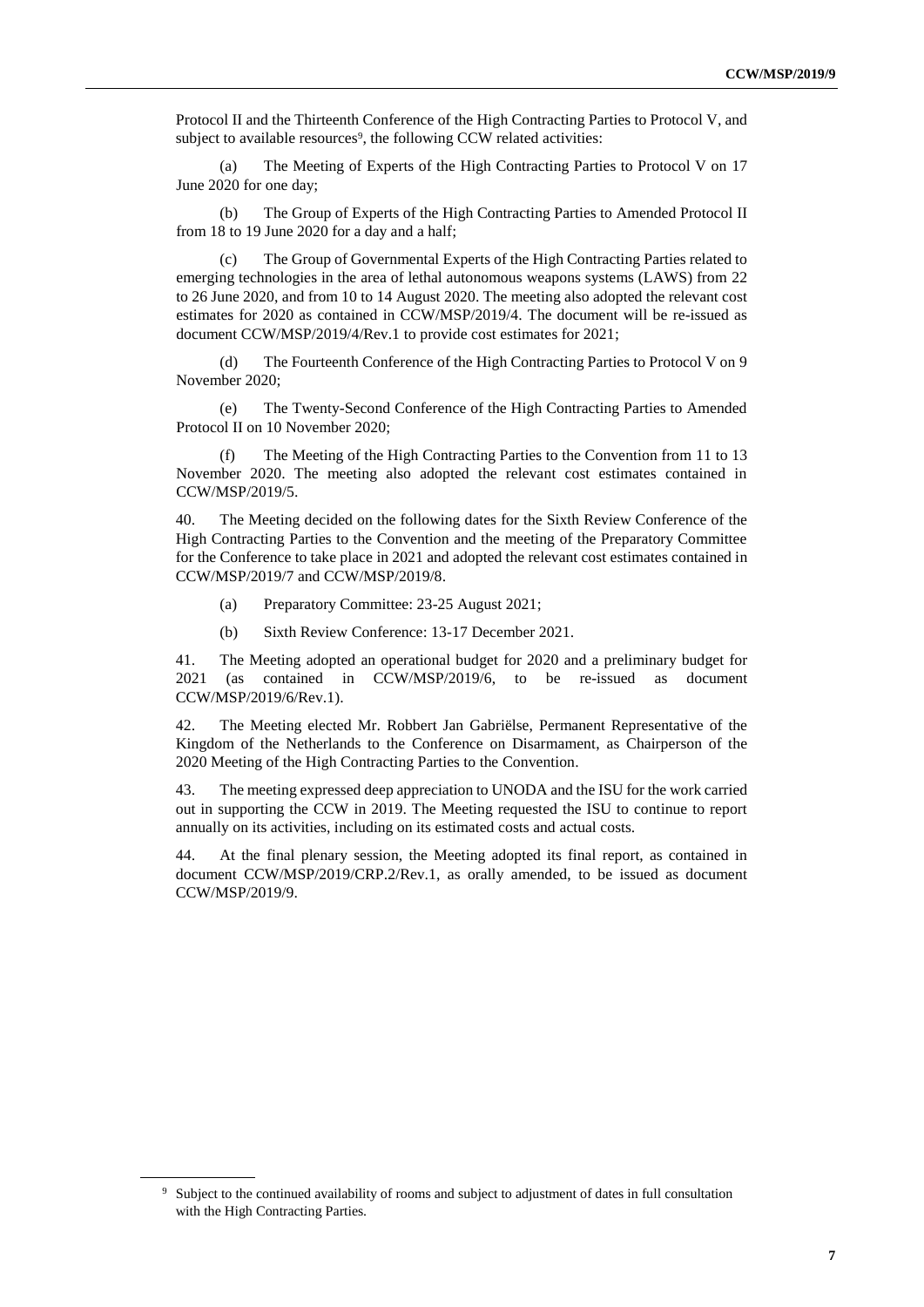Protocol II and the Thirteenth Conference of the High Contracting Parties to Protocol V, and subject to available resources<sup>9</sup>, the following CCW related activities:

(a) The Meeting of Experts of the High Contracting Parties to Protocol V on 17 June 2020 for one day;

(b) The Group of Experts of the High Contracting Parties to Amended Protocol II from 18 to 19 June 2020 for a day and a half;

(c) The Group of Governmental Experts of the High Contracting Parties related to emerging technologies in the area of lethal autonomous weapons systems (LAWS) from 22 to 26 June 2020, and from 10 to 14 August 2020. The meeting also adopted the relevant cost estimates for 2020 as contained in CCW/MSP/2019/4. The document will be re-issued as document CCW/MSP/2019/4/Rev.1 to provide cost estimates for 2021;

(d) The Fourteenth Conference of the High Contracting Parties to Protocol V on 9 November 2020;

(e) The Twenty-Second Conference of the High Contracting Parties to Amended Protocol II on 10 November 2020;

(f) The Meeting of the High Contracting Parties to the Convention from 11 to 13 November 2020. The meeting also adopted the relevant cost estimates contained in CCW/MSP/2019/5.

40. The Meeting decided on the following dates for the Sixth Review Conference of the High Contracting Parties to the Convention and the meeting of the Preparatory Committee for the Conference to take place in 2021 and adopted the relevant cost estimates contained in CCW/MSP/2019/7 and CCW/MSP/2019/8.

- (a) Preparatory Committee: 23-25 August 2021;
- (b) Sixth Review Conference: 13-17 December 2021.

41. The Meeting adopted an operational budget for 2020 and a preliminary budget for 2021 (as contained in CCW/MSP/2019/6, to be re-issued as document CCW/MSP/2019/6/Rev.1).

42. The Meeting elected Mr. Robbert Jan Gabriëlse, Permanent Representative of the Kingdom of the Netherlands to the Conference on Disarmament, as Chairperson of the 2020 Meeting of the High Contracting Parties to the Convention.

43. The meeting expressed deep appreciation to UNODA and the ISU for the work carried out in supporting the CCW in 2019. The Meeting requested the ISU to continue to report annually on its activities, including on its estimated costs and actual costs.

44. At the final plenary session, the Meeting adopted its final report, as contained in document CCW/MSP/2019/CRP.2/Rev.1, as orally amended, to be issued as document CCW/MSP/2019/9.

<sup>9</sup> Subject to the continued availability of rooms and subject to adjustment of dates in full consultation with the High Contracting Parties.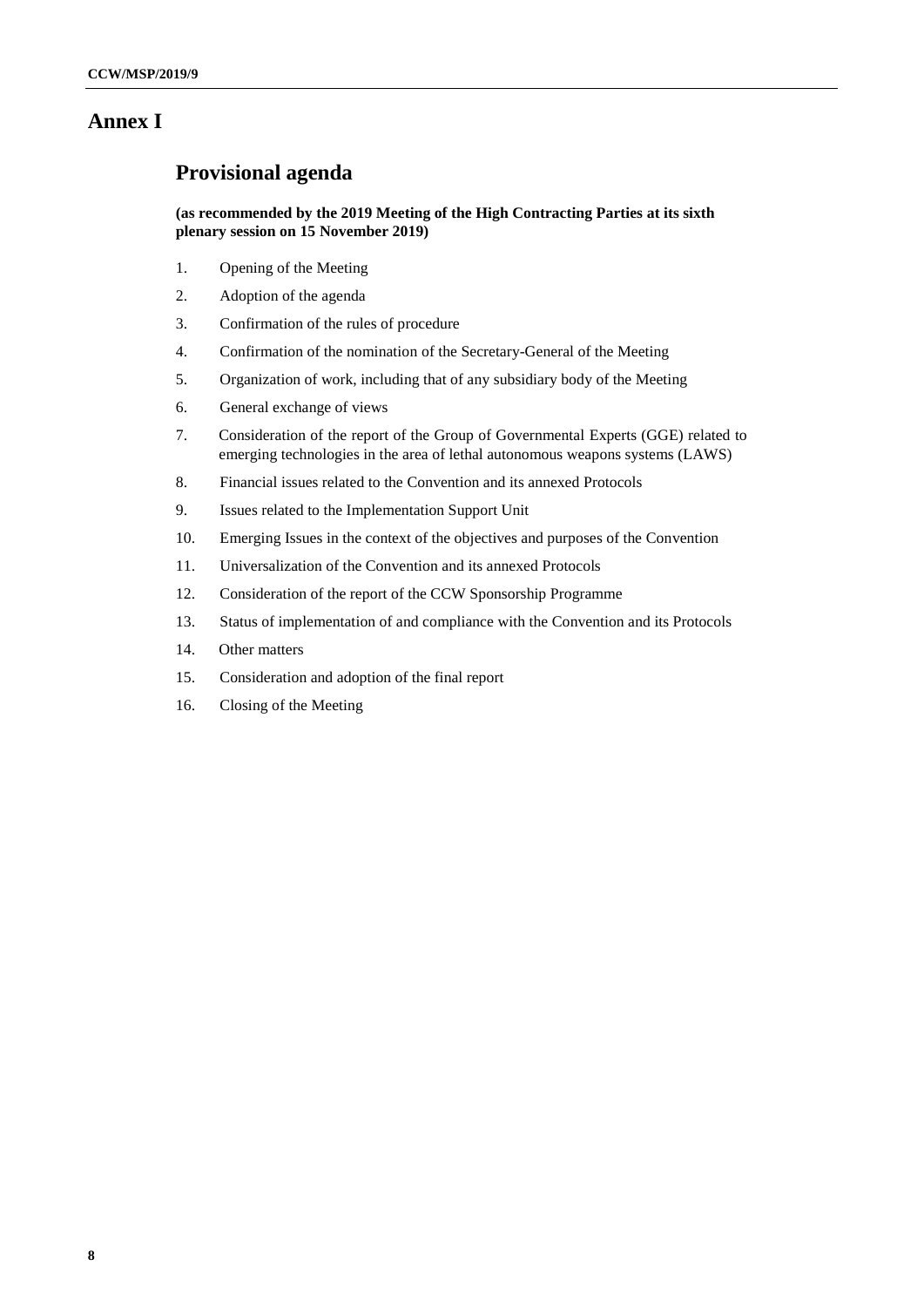## **Annex I**

# **Provisional agenda**

#### **(as recommended by the 2019 Meeting of the High Contracting Parties at its sixth plenary session on 15 November 2019)**

- 1. Opening of the Meeting
- 2. Adoption of the agenda
- 3. Confirmation of the rules of procedure
- 4. Confirmation of the nomination of the Secretary-General of the Meeting
- 5. Organization of work, including that of any subsidiary body of the Meeting
- 6. General exchange of views
- 7. Consideration of the report of the Group of Governmental Experts (GGE) related to emerging technologies in the area of lethal autonomous weapons systems (LAWS)
- 8. Financial issues related to the Convention and its annexed Protocols
- 9. Issues related to the Implementation Support Unit
- 10. Emerging Issues in the context of the objectives and purposes of the Convention
- 11. Universalization of the Convention and its annexed Protocols
- 12. Consideration of the report of the CCW Sponsorship Programme
- 13. Status of implementation of and compliance with the Convention and its Protocols
- 14. Other matters
- 15. Consideration and adoption of the final report
- 16. Closing of the Meeting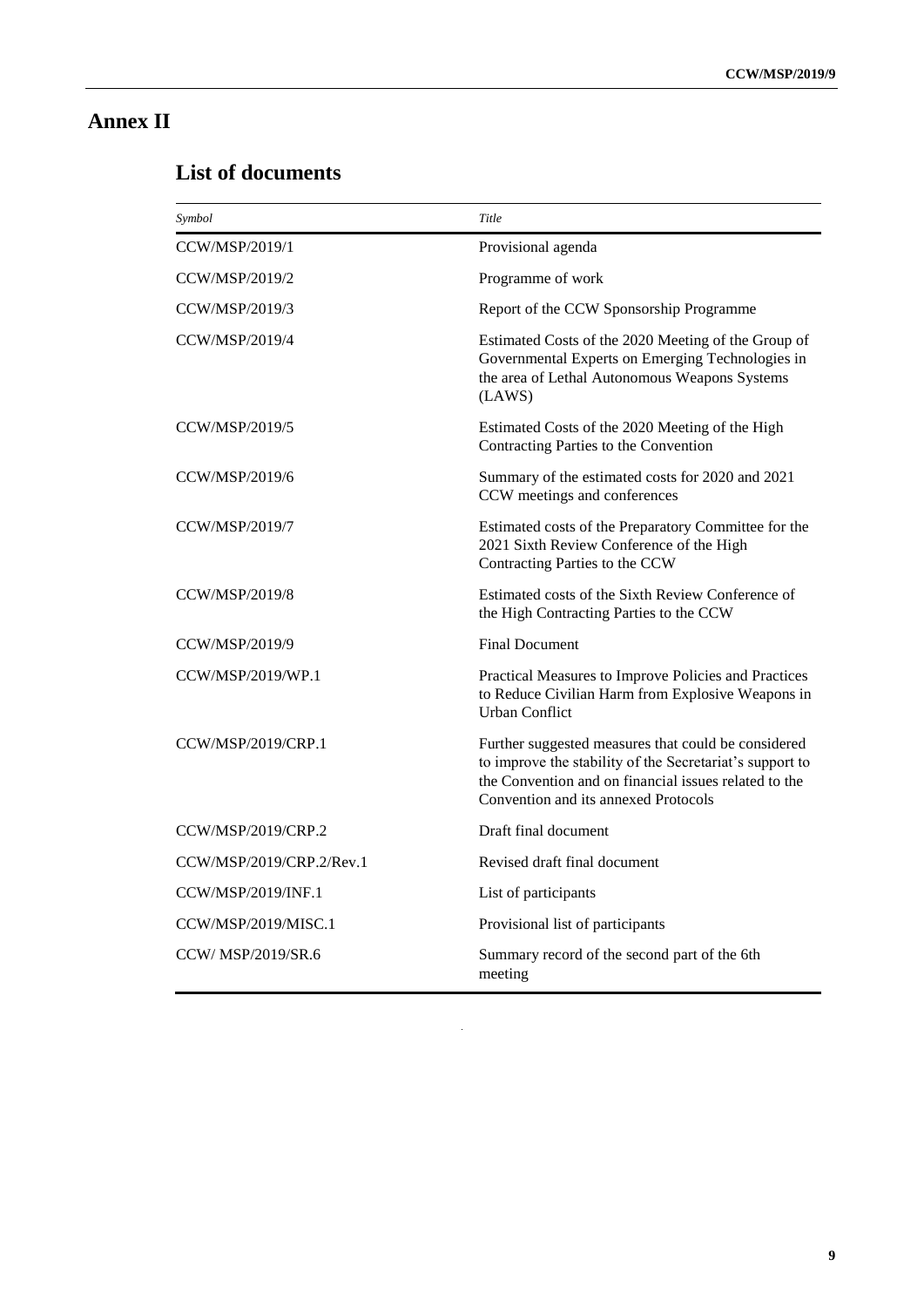# **Annex II**

# **List of documents**

| Symbol                    | Title                                                                                                                                                                                                            |
|---------------------------|------------------------------------------------------------------------------------------------------------------------------------------------------------------------------------------------------------------|
| CCW/MSP/2019/1            | Provisional agenda                                                                                                                                                                                               |
| CCW/MSP/2019/2            | Programme of work                                                                                                                                                                                                |
| CCW/MSP/2019/3            | Report of the CCW Sponsorship Programme                                                                                                                                                                          |
| CCW/MSP/2019/4            | Estimated Costs of the 2020 Meeting of the Group of<br>Governmental Experts on Emerging Technologies in<br>the area of Lethal Autonomous Weapons Systems<br>(LAWS)                                               |
| CCW/MSP/2019/5            | Estimated Costs of the 2020 Meeting of the High<br>Contracting Parties to the Convention                                                                                                                         |
| CCW/MSP/2019/6            | Summary of the estimated costs for 2020 and 2021<br>CCW meetings and conferences                                                                                                                                 |
| CCW/MSP/2019/7            | Estimated costs of the Preparatory Committee for the<br>2021 Sixth Review Conference of the High<br>Contracting Parties to the CCW                                                                               |
| <b>CCW/MSP/2019/8</b>     | Estimated costs of the Sixth Review Conference of<br>the High Contracting Parties to the CCW                                                                                                                     |
| CCW/MSP/2019/9            | <b>Final Document</b>                                                                                                                                                                                            |
| CCW/MSP/2019/WP.1         | Practical Measures to Improve Policies and Practices<br>to Reduce Civilian Harm from Explosive Weapons in<br><b>Urban Conflict</b>                                                                               |
| CCW/MSP/2019/CRP.1        | Further suggested measures that could be considered<br>to improve the stability of the Secretariat's support to<br>the Convention and on financial issues related to the<br>Convention and its annexed Protocols |
| CCW/MSP/2019/CRP.2        | Draft final document                                                                                                                                                                                             |
| CCW/MSP/2019/CRP.2/Rev.1  | Revised draft final document                                                                                                                                                                                     |
| <b>CCW/MSP/2019/INF.1</b> | List of participants                                                                                                                                                                                             |
| CCW/MSP/2019/MISC.1       | Provisional list of participants                                                                                                                                                                                 |
| CCW/ MSP/2019/SR.6        | Summary record of the second part of the 6th<br>meeting                                                                                                                                                          |

 $\hat{\mathcal{A}}$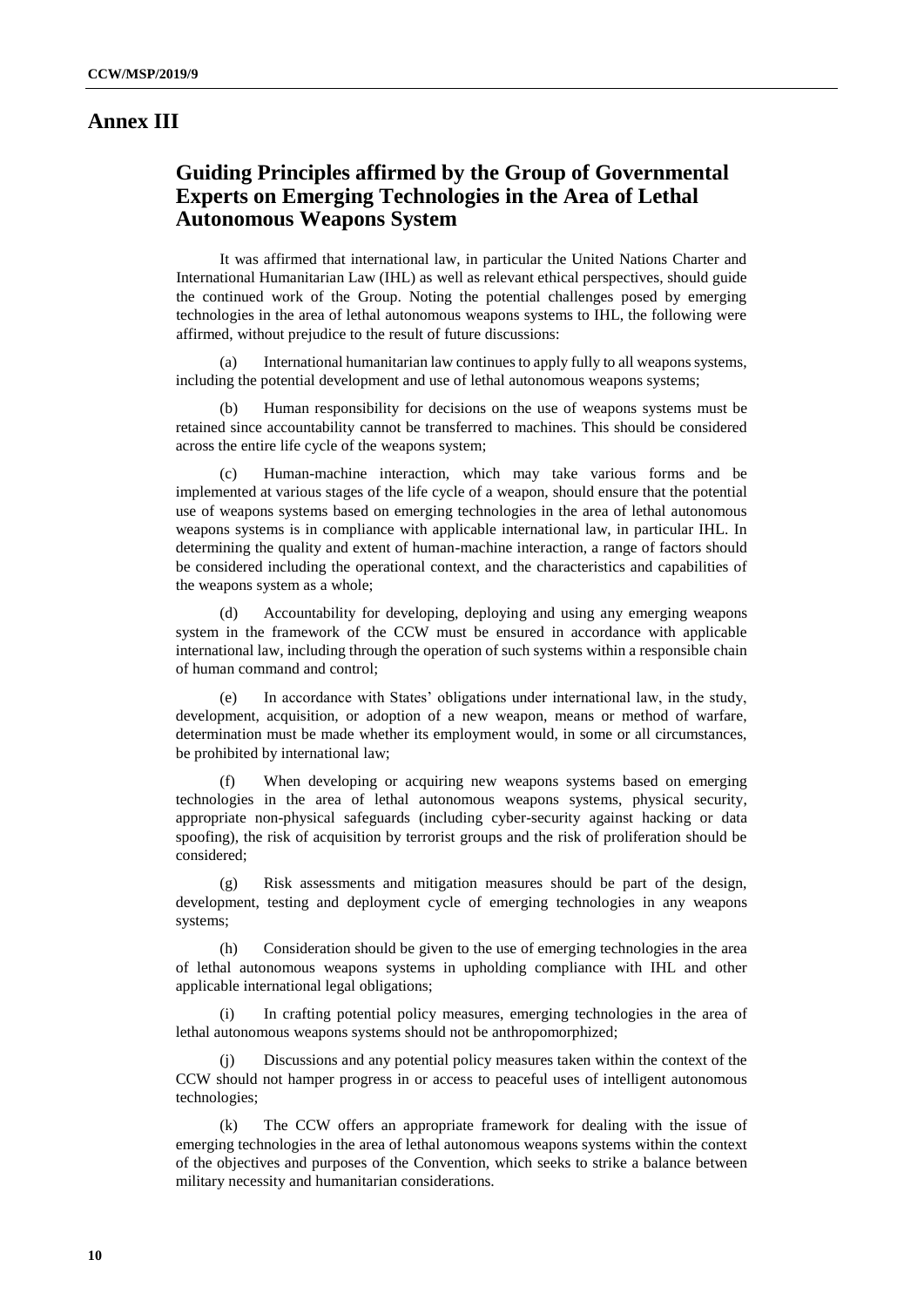## **Annex III**

# **Guiding Principles affirmed by the Group of Governmental Experts on Emerging Technologies in the Area of Lethal Autonomous Weapons System**

It was affirmed that international law, in particular the United Nations Charter and International Humanitarian Law (IHL) as well as relevant ethical perspectives, should guide the continued work of the Group. Noting the potential challenges posed by emerging technologies in the area of lethal autonomous weapons systems to IHL, the following were affirmed, without prejudice to the result of future discussions:

(a) International humanitarian law continues to apply fully to all weapons systems, including the potential development and use of lethal autonomous weapons systems;

Human responsibility for decisions on the use of weapons systems must be retained since accountability cannot be transferred to machines. This should be considered across the entire life cycle of the weapons system;

(c) Human-machine interaction, which may take various forms and be implemented at various stages of the life cycle of a weapon, should ensure that the potential use of weapons systems based on emerging technologies in the area of lethal autonomous weapons systems is in compliance with applicable international law, in particular IHL. In determining the quality and extent of human-machine interaction, a range of factors should be considered including the operational context, and the characteristics and capabilities of the weapons system as a whole;

(d) Accountability for developing, deploying and using any emerging weapons system in the framework of the CCW must be ensured in accordance with applicable international law, including through the operation of such systems within a responsible chain of human command and control;

(e) In accordance with States' obligations under international law, in the study, development, acquisition, or adoption of a new weapon, means or method of warfare, determination must be made whether its employment would, in some or all circumstances, be prohibited by international law;

(f) When developing or acquiring new weapons systems based on emerging technologies in the area of lethal autonomous weapons systems, physical security, appropriate non-physical safeguards (including cyber-security against hacking or data spoofing), the risk of acquisition by terrorist groups and the risk of proliferation should be considered;

(g) Risk assessments and mitigation measures should be part of the design, development, testing and deployment cycle of emerging technologies in any weapons systems;

(h) Consideration should be given to the use of emerging technologies in the area of lethal autonomous weapons systems in upholding compliance with IHL and other applicable international legal obligations;

(i) In crafting potential policy measures, emerging technologies in the area of lethal autonomous weapons systems should not be anthropomorphized;

(j) Discussions and any potential policy measures taken within the context of the CCW should not hamper progress in or access to peaceful uses of intelligent autonomous technologies;

(k) The CCW offers an appropriate framework for dealing with the issue of emerging technologies in the area of lethal autonomous weapons systems within the context of the objectives and purposes of the Convention, which seeks to strike a balance between military necessity and humanitarian considerations.